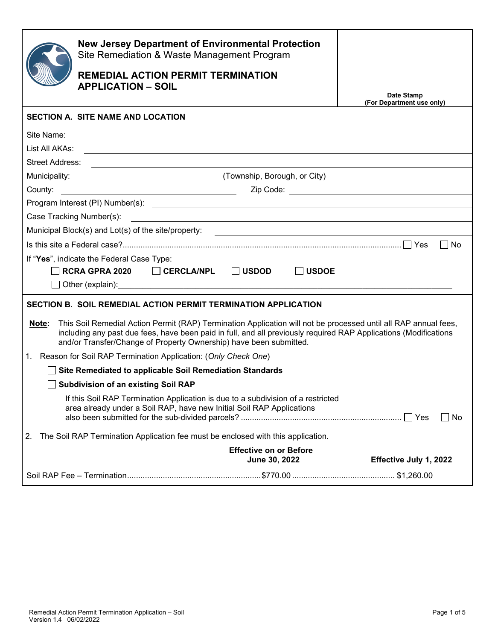|                                                                | <b>New Jersey Department of Environmental Protection</b><br>Site Remediation & Waste Management Program<br><b>REMEDIAL ACTION PERMIT TERMINATION</b><br><b>APPLICATION - SOIL</b>                                                                                                                         | Date Stamp<br>(For Department use only) |  |  |
|----------------------------------------------------------------|-----------------------------------------------------------------------------------------------------------------------------------------------------------------------------------------------------------------------------------------------------------------------------------------------------------|-----------------------------------------|--|--|
|                                                                | <b>SECTION A. SITE NAME AND LOCATION</b>                                                                                                                                                                                                                                                                  |                                         |  |  |
| Site Name:                                                     |                                                                                                                                                                                                                                                                                                           |                                         |  |  |
| List All AKAs:                                                 |                                                                                                                                                                                                                                                                                                           |                                         |  |  |
|                                                                | Street Address: <u>contract and the set of the set of the set of the set of the set of the set of the set of the set of the set of the set of the set of the set of the set of the set of the set of the set of the set of the s</u>                                                                      |                                         |  |  |
| Municipality:                                                  | (Township, Borough, or City)                                                                                                                                                                                                                                                                              |                                         |  |  |
|                                                                |                                                                                                                                                                                                                                                                                                           |                                         |  |  |
|                                                                |                                                                                                                                                                                                                                                                                                           |                                         |  |  |
|                                                                |                                                                                                                                                                                                                                                                                                           |                                         |  |  |
|                                                                | Municipal Block(s) and Lot(s) of the site/property: _____________________________                                                                                                                                                                                                                         |                                         |  |  |
| $\Box$ No                                                      |                                                                                                                                                                                                                                                                                                           |                                         |  |  |
|                                                                | If "Yes", indicate the Federal Case Type:                                                                                                                                                                                                                                                                 |                                         |  |  |
|                                                                | RCRA GPRA 2020 <del>CERCLA/NPL JUSDOD</del>                                                                                                                                                                                                                                                               | <b>USDOE</b>                            |  |  |
|                                                                |                                                                                                                                                                                                                                                                                                           |                                         |  |  |
| SECTION B. SOIL REMEDIAL ACTION PERMIT TERMINATION APPLICATION |                                                                                                                                                                                                                                                                                                           |                                         |  |  |
| Note:                                                          | This Soil Remedial Action Permit (RAP) Termination Application will not be processed until all RAP annual fees,<br>including any past due fees, have been paid in full, and all previously required RAP Applications (Modifications<br>and/or Transfer/Change of Property Ownership) have been submitted. |                                         |  |  |
|                                                                | 1. Reason for Soil RAP Termination Application: (Only Check One)                                                                                                                                                                                                                                          |                                         |  |  |
| Site Remediated to applicable Soil Remediation Standards       |                                                                                                                                                                                                                                                                                                           |                                         |  |  |
|                                                                | <b>Subdivision of an existing Soil RAP</b>                                                                                                                                                                                                                                                                |                                         |  |  |
|                                                                | If this Soil RAP Termination Application is due to a subdivision of a restricted<br>area already under a Soil RAP, have new Initial Soil RAP Applications                                                                                                                                                 | $\Box$ No                               |  |  |
| 2.                                                             | The Soil RAP Termination Application fee must be enclosed with this application.                                                                                                                                                                                                                          |                                         |  |  |
|                                                                | <b>Effective on or Before</b><br>June 30, 2022                                                                                                                                                                                                                                                            | Effective July 1, 2022                  |  |  |
|                                                                |                                                                                                                                                                                                                                                                                                           |                                         |  |  |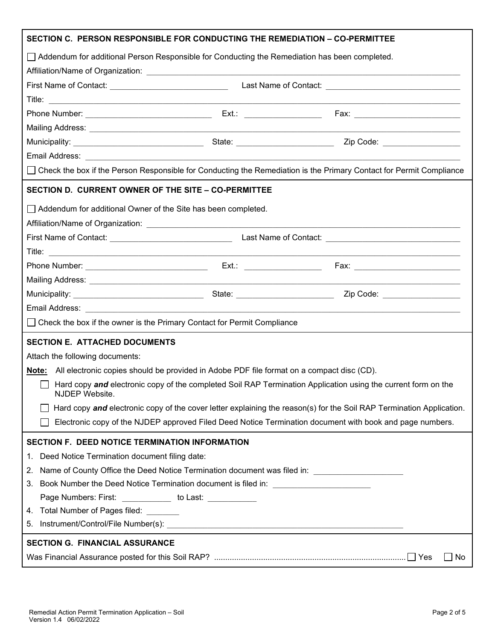| SECTION C. PERSON RESPONSIBLE FOR CONDUCTING THE REMEDIATION – CO-PERMITTEE                                           |  |                                                                                                                      |  |
|-----------------------------------------------------------------------------------------------------------------------|--|----------------------------------------------------------------------------------------------------------------------|--|
| $\Box$ Addendum for additional Person Responsible for Conducting the Remediation has been completed.                  |  |                                                                                                                      |  |
|                                                                                                                       |  |                                                                                                                      |  |
|                                                                                                                       |  |                                                                                                                      |  |
|                                                                                                                       |  |                                                                                                                      |  |
|                                                                                                                       |  |                                                                                                                      |  |
|                                                                                                                       |  |                                                                                                                      |  |
|                                                                                                                       |  |                                                                                                                      |  |
|                                                                                                                       |  |                                                                                                                      |  |
| □ Check the box if the Person Responsible for Conducting the Remediation is the Primary Contact for Permit Compliance |  |                                                                                                                      |  |
| SECTION D. CURRENT OWNER OF THE SITE - CO-PERMITTEE                                                                   |  |                                                                                                                      |  |
| Addendum for additional Owner of the Site has been completed.                                                         |  |                                                                                                                      |  |
|                                                                                                                       |  |                                                                                                                      |  |
|                                                                                                                       |  |                                                                                                                      |  |
|                                                                                                                       |  |                                                                                                                      |  |
|                                                                                                                       |  |                                                                                                                      |  |
|                                                                                                                       |  |                                                                                                                      |  |
|                                                                                                                       |  | Zip Code: <u>__________________</u>                                                                                  |  |
|                                                                                                                       |  |                                                                                                                      |  |
| □ Check the box if the owner is the Primary Contact for Permit Compliance                                             |  |                                                                                                                      |  |
| <b>SECTION E. ATTACHED DOCUMENTS</b>                                                                                  |  |                                                                                                                      |  |
| Attach the following documents:                                                                                       |  |                                                                                                                      |  |
| Note: All electronic copies should be provided in Adobe PDF file format on a compact disc (CD).                       |  |                                                                                                                      |  |
| NJDEP Website.                                                                                                        |  | Hard copy and electronic copy of the completed Soil RAP Termination Application using the current form on the        |  |
|                                                                                                                       |  | Hard copy and electronic copy of the cover letter explaining the reason(s) for the Soil RAP Termination Application. |  |
|                                                                                                                       |  | Electronic copy of the NJDEP approved Filed Deed Notice Termination document with book and page numbers.             |  |
| SECTION F. DEED NOTICE TERMINATION INFORMATION                                                                        |  |                                                                                                                      |  |
| Deed Notice Termination document filing date:<br>1.                                                                   |  |                                                                                                                      |  |
| Name of County Office the Deed Notice Termination document was filed in: __________________________<br>2.             |  |                                                                                                                      |  |
| Book Number the Deed Notice Termination document is filed in: ___________________<br>3.                               |  |                                                                                                                      |  |
| Page Numbers: First: _____________ to Last: ___________                                                               |  |                                                                                                                      |  |
| 4. Total Number of Pages filed: _______                                                                               |  |                                                                                                                      |  |
| 5.                                                                                                                    |  |                                                                                                                      |  |
| <b>SECTION G. FINANCIAL ASSURANCE</b>                                                                                 |  |                                                                                                                      |  |
|                                                                                                                       |  | No                                                                                                                   |  |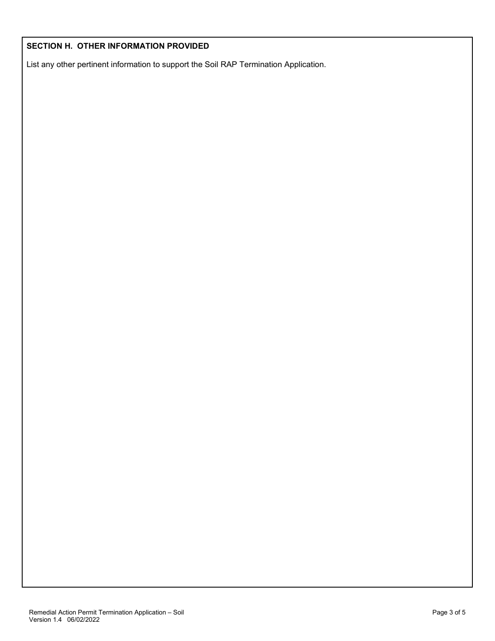#### **SECTION H. OTHER INFORMATION PROVIDED**

List any other pertinent information to support the Soil RAP Termination Application.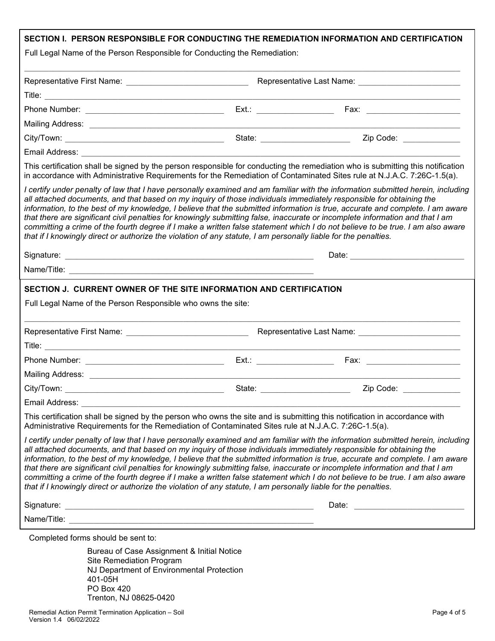| Full Legal Name of the Person Responsible for Conducting the Remediation:<br>State: ________________________<br>Email Address: <u>Andreas Address and Address and Address and Address and Address and Address and Address and Address and Address and Address and Address and Address and Address and Address and Address and Address and Addres</u><br>This certification shall be signed by the person responsible for conducting the remediation who is submitting this notification<br>in accordance with Administrative Requirements for the Remediation of Contaminated Sites rule at N.J.A.C. 7:26C-1.5(a).<br>I certify under penalty of law that I have personally examined and am familiar with the information submitted herein, including<br>all attached documents, and that based on my inquiry of those individuals immediately responsible for obtaining the<br>information, to the best of my knowledge, I believe that the submitted information is true, accurate and complete. I am aware<br>that there are significant civil penalties for knowingly submitting false, inaccurate or incomplete information and that I am<br>committing a crime of the fourth degree if I make a written false statement which I do not believe to be true. I am also aware<br>that if I knowingly direct or authorize the violation of any statute, I am personally liable for the penalties.<br>Date: <u>____________________________</u><br>SECTION J. CURRENT OWNER OF THE SITE INFORMATION AND CERTIFICATION<br>Full Legal Name of the Person Responsible who owns the site:<br>Ext.: Fax: Fax:<br>Email Address:<br>This certification shall be signed by the person who owns the site and is submitting this notification in accordance with<br>Administrative Requirements for the Remediation of Contaminated Sites rule at N.J.A.C. 7:26C-1.5(a).<br>I certify under penalty of law that I have personally examined and am familiar with the information submitted herein, including<br>all attached documents, and that based on my inquiry of those individuals immediately responsible for obtaining the<br>information, to the best of my knowledge, I believe that the submitted information is true, accurate and complete. I am aware<br>that there are significant civil penalties for knowingly submitting false, inaccurate or incomplete information and that I am<br>committing a crime of the fourth degree if I make a written false statement which I do not believe to be true. I am also aware<br>that if I knowingly direct or authorize the violation of any statute, I am personally liable for the penalties.<br>Signature:<br>Date:<br><u> 1989 - Johann Harry Harry Harry Harry Harry Harry Harry Harry Harry Harry Harry Harry Harry Harry Harry Harry</u><br>Completed forms should be sent to:<br>Bureau of Case Assignment & Initial Notice<br>Site Remediation Program<br>NJ Department of Environmental Protection |  | SECTION I. PERSON RESPONSIBLE FOR CONDUCTING THE REMEDIATION INFORMATION AND CERTIFICATION                          |  |
|----------------------------------------------------------------------------------------------------------------------------------------------------------------------------------------------------------------------------------------------------------------------------------------------------------------------------------------------------------------------------------------------------------------------------------------------------------------------------------------------------------------------------------------------------------------------------------------------------------------------------------------------------------------------------------------------------------------------------------------------------------------------------------------------------------------------------------------------------------------------------------------------------------------------------------------------------------------------------------------------------------------------------------------------------------------------------------------------------------------------------------------------------------------------------------------------------------------------------------------------------------------------------------------------------------------------------------------------------------------------------------------------------------------------------------------------------------------------------------------------------------------------------------------------------------------------------------------------------------------------------------------------------------------------------------------------------------------------------------------------------------------------------------------------------------------------------------------------------------------------------------------------------------------------------------------------------------------------------------------------------------------------------------------------------------------------------------------------------------------------------------------------------------------------------------------------------------------------------------------------------------------------------------------------------------------------------------------------------------------------------------------------------------------------------------------------------------------------------------------------------------------------------------------------------------------------------------------------------------------------------------------------------------------------------------------------------------------------------------------------------------------------------------------------------------------------------------------------------------------------------------------------------------------------------------------------------------------|--|---------------------------------------------------------------------------------------------------------------------|--|
|                                                                                                                                                                                                                                                                                                                                                                                                                                                                                                                                                                                                                                                                                                                                                                                                                                                                                                                                                                                                                                                                                                                                                                                                                                                                                                                                                                                                                                                                                                                                                                                                                                                                                                                                                                                                                                                                                                                                                                                                                                                                                                                                                                                                                                                                                                                                                                                                                                                                                                                                                                                                                                                                                                                                                                                                                                                                                                                                                                |  |                                                                                                                     |  |
|                                                                                                                                                                                                                                                                                                                                                                                                                                                                                                                                                                                                                                                                                                                                                                                                                                                                                                                                                                                                                                                                                                                                                                                                                                                                                                                                                                                                                                                                                                                                                                                                                                                                                                                                                                                                                                                                                                                                                                                                                                                                                                                                                                                                                                                                                                                                                                                                                                                                                                                                                                                                                                                                                                                                                                                                                                                                                                                                                                |  |                                                                                                                     |  |
|                                                                                                                                                                                                                                                                                                                                                                                                                                                                                                                                                                                                                                                                                                                                                                                                                                                                                                                                                                                                                                                                                                                                                                                                                                                                                                                                                                                                                                                                                                                                                                                                                                                                                                                                                                                                                                                                                                                                                                                                                                                                                                                                                                                                                                                                                                                                                                                                                                                                                                                                                                                                                                                                                                                                                                                                                                                                                                                                                                |  |                                                                                                                     |  |
|                                                                                                                                                                                                                                                                                                                                                                                                                                                                                                                                                                                                                                                                                                                                                                                                                                                                                                                                                                                                                                                                                                                                                                                                                                                                                                                                                                                                                                                                                                                                                                                                                                                                                                                                                                                                                                                                                                                                                                                                                                                                                                                                                                                                                                                                                                                                                                                                                                                                                                                                                                                                                                                                                                                                                                                                                                                                                                                                                                |  |                                                                                                                     |  |
|                                                                                                                                                                                                                                                                                                                                                                                                                                                                                                                                                                                                                                                                                                                                                                                                                                                                                                                                                                                                                                                                                                                                                                                                                                                                                                                                                                                                                                                                                                                                                                                                                                                                                                                                                                                                                                                                                                                                                                                                                                                                                                                                                                                                                                                                                                                                                                                                                                                                                                                                                                                                                                                                                                                                                                                                                                                                                                                                                                |  |                                                                                                                     |  |
|                                                                                                                                                                                                                                                                                                                                                                                                                                                                                                                                                                                                                                                                                                                                                                                                                                                                                                                                                                                                                                                                                                                                                                                                                                                                                                                                                                                                                                                                                                                                                                                                                                                                                                                                                                                                                                                                                                                                                                                                                                                                                                                                                                                                                                                                                                                                                                                                                                                                                                                                                                                                                                                                                                                                                                                                                                                                                                                                                                |  | Zip Code: ____________                                                                                              |  |
|                                                                                                                                                                                                                                                                                                                                                                                                                                                                                                                                                                                                                                                                                                                                                                                                                                                                                                                                                                                                                                                                                                                                                                                                                                                                                                                                                                                                                                                                                                                                                                                                                                                                                                                                                                                                                                                                                                                                                                                                                                                                                                                                                                                                                                                                                                                                                                                                                                                                                                                                                                                                                                                                                                                                                                                                                                                                                                                                                                |  |                                                                                                                     |  |
|                                                                                                                                                                                                                                                                                                                                                                                                                                                                                                                                                                                                                                                                                                                                                                                                                                                                                                                                                                                                                                                                                                                                                                                                                                                                                                                                                                                                                                                                                                                                                                                                                                                                                                                                                                                                                                                                                                                                                                                                                                                                                                                                                                                                                                                                                                                                                                                                                                                                                                                                                                                                                                                                                                                                                                                                                                                                                                                                                                |  |                                                                                                                     |  |
|                                                                                                                                                                                                                                                                                                                                                                                                                                                                                                                                                                                                                                                                                                                                                                                                                                                                                                                                                                                                                                                                                                                                                                                                                                                                                                                                                                                                                                                                                                                                                                                                                                                                                                                                                                                                                                                                                                                                                                                                                                                                                                                                                                                                                                                                                                                                                                                                                                                                                                                                                                                                                                                                                                                                                                                                                                                                                                                                                                |  |                                                                                                                     |  |
|                                                                                                                                                                                                                                                                                                                                                                                                                                                                                                                                                                                                                                                                                                                                                                                                                                                                                                                                                                                                                                                                                                                                                                                                                                                                                                                                                                                                                                                                                                                                                                                                                                                                                                                                                                                                                                                                                                                                                                                                                                                                                                                                                                                                                                                                                                                                                                                                                                                                                                                                                                                                                                                                                                                                                                                                                                                                                                                                                                |  |                                                                                                                     |  |
|                                                                                                                                                                                                                                                                                                                                                                                                                                                                                                                                                                                                                                                                                                                                                                                                                                                                                                                                                                                                                                                                                                                                                                                                                                                                                                                                                                                                                                                                                                                                                                                                                                                                                                                                                                                                                                                                                                                                                                                                                                                                                                                                                                                                                                                                                                                                                                                                                                                                                                                                                                                                                                                                                                                                                                                                                                                                                                                                                                |  |                                                                                                                     |  |
|                                                                                                                                                                                                                                                                                                                                                                                                                                                                                                                                                                                                                                                                                                                                                                                                                                                                                                                                                                                                                                                                                                                                                                                                                                                                                                                                                                                                                                                                                                                                                                                                                                                                                                                                                                                                                                                                                                                                                                                                                                                                                                                                                                                                                                                                                                                                                                                                                                                                                                                                                                                                                                                                                                                                                                                                                                                                                                                                                                |  |                                                                                                                     |  |
|                                                                                                                                                                                                                                                                                                                                                                                                                                                                                                                                                                                                                                                                                                                                                                                                                                                                                                                                                                                                                                                                                                                                                                                                                                                                                                                                                                                                                                                                                                                                                                                                                                                                                                                                                                                                                                                                                                                                                                                                                                                                                                                                                                                                                                                                                                                                                                                                                                                                                                                                                                                                                                                                                                                                                                                                                                                                                                                                                                |  |                                                                                                                     |  |
|                                                                                                                                                                                                                                                                                                                                                                                                                                                                                                                                                                                                                                                                                                                                                                                                                                                                                                                                                                                                                                                                                                                                                                                                                                                                                                                                                                                                                                                                                                                                                                                                                                                                                                                                                                                                                                                                                                                                                                                                                                                                                                                                                                                                                                                                                                                                                                                                                                                                                                                                                                                                                                                                                                                                                                                                                                                                                                                                                                |  |                                                                                                                     |  |
|                                                                                                                                                                                                                                                                                                                                                                                                                                                                                                                                                                                                                                                                                                                                                                                                                                                                                                                                                                                                                                                                                                                                                                                                                                                                                                                                                                                                                                                                                                                                                                                                                                                                                                                                                                                                                                                                                                                                                                                                                                                                                                                                                                                                                                                                                                                                                                                                                                                                                                                                                                                                                                                                                                                                                                                                                                                                                                                                                                |  |                                                                                                                     |  |
|                                                                                                                                                                                                                                                                                                                                                                                                                                                                                                                                                                                                                                                                                                                                                                                                                                                                                                                                                                                                                                                                                                                                                                                                                                                                                                                                                                                                                                                                                                                                                                                                                                                                                                                                                                                                                                                                                                                                                                                                                                                                                                                                                                                                                                                                                                                                                                                                                                                                                                                                                                                                                                                                                                                                                                                                                                                                                                                                                                |  |                                                                                                                     |  |
|                                                                                                                                                                                                                                                                                                                                                                                                                                                                                                                                                                                                                                                                                                                                                                                                                                                                                                                                                                                                                                                                                                                                                                                                                                                                                                                                                                                                                                                                                                                                                                                                                                                                                                                                                                                                                                                                                                                                                                                                                                                                                                                                                                                                                                                                                                                                                                                                                                                                                                                                                                                                                                                                                                                                                                                                                                                                                                                                                                |  |                                                                                                                     |  |
|                                                                                                                                                                                                                                                                                                                                                                                                                                                                                                                                                                                                                                                                                                                                                                                                                                                                                                                                                                                                                                                                                                                                                                                                                                                                                                                                                                                                                                                                                                                                                                                                                                                                                                                                                                                                                                                                                                                                                                                                                                                                                                                                                                                                                                                                                                                                                                                                                                                                                                                                                                                                                                                                                                                                                                                                                                                                                                                                                                |  |                                                                                                                     |  |
|                                                                                                                                                                                                                                                                                                                                                                                                                                                                                                                                                                                                                                                                                                                                                                                                                                                                                                                                                                                                                                                                                                                                                                                                                                                                                                                                                                                                                                                                                                                                                                                                                                                                                                                                                                                                                                                                                                                                                                                                                                                                                                                                                                                                                                                                                                                                                                                                                                                                                                                                                                                                                                                                                                                                                                                                                                                                                                                                                                |  |                                                                                                                     |  |
|                                                                                                                                                                                                                                                                                                                                                                                                                                                                                                                                                                                                                                                                                                                                                                                                                                                                                                                                                                                                                                                                                                                                                                                                                                                                                                                                                                                                                                                                                                                                                                                                                                                                                                                                                                                                                                                                                                                                                                                                                                                                                                                                                                                                                                                                                                                                                                                                                                                                                                                                                                                                                                                                                                                                                                                                                                                                                                                                                                |  |                                                                                                                     |  |
|                                                                                                                                                                                                                                                                                                                                                                                                                                                                                                                                                                                                                                                                                                                                                                                                                                                                                                                                                                                                                                                                                                                                                                                                                                                                                                                                                                                                                                                                                                                                                                                                                                                                                                                                                                                                                                                                                                                                                                                                                                                                                                                                                                                                                                                                                                                                                                                                                                                                                                                                                                                                                                                                                                                                                                                                                                                                                                                                                                |  |                                                                                                                     |  |
|                                                                                                                                                                                                                                                                                                                                                                                                                                                                                                                                                                                                                                                                                                                                                                                                                                                                                                                                                                                                                                                                                                                                                                                                                                                                                                                                                                                                                                                                                                                                                                                                                                                                                                                                                                                                                                                                                                                                                                                                                                                                                                                                                                                                                                                                                                                                                                                                                                                                                                                                                                                                                                                                                                                                                                                                                                                                                                                                                                |  |                                                                                                                     |  |
|                                                                                                                                                                                                                                                                                                                                                                                                                                                                                                                                                                                                                                                                                                                                                                                                                                                                                                                                                                                                                                                                                                                                                                                                                                                                                                                                                                                                                                                                                                                                                                                                                                                                                                                                                                                                                                                                                                                                                                                                                                                                                                                                                                                                                                                                                                                                                                                                                                                                                                                                                                                                                                                                                                                                                                                                                                                                                                                                                                |  | <u> 1989 - Johann Barn, mars ann an t-Amhair an t-Amhair an t-Amhair an t-Amhair an t-Amhair an t-Amhair an t-A</u> |  |
|                                                                                                                                                                                                                                                                                                                                                                                                                                                                                                                                                                                                                                                                                                                                                                                                                                                                                                                                                                                                                                                                                                                                                                                                                                                                                                                                                                                                                                                                                                                                                                                                                                                                                                                                                                                                                                                                                                                                                                                                                                                                                                                                                                                                                                                                                                                                                                                                                                                                                                                                                                                                                                                                                                                                                                                                                                                                                                                                                                |  |                                                                                                                     |  |
|                                                                                                                                                                                                                                                                                                                                                                                                                                                                                                                                                                                                                                                                                                                                                                                                                                                                                                                                                                                                                                                                                                                                                                                                                                                                                                                                                                                                                                                                                                                                                                                                                                                                                                                                                                                                                                                                                                                                                                                                                                                                                                                                                                                                                                                                                                                                                                                                                                                                                                                                                                                                                                                                                                                                                                                                                                                                                                                                                                |  |                                                                                                                     |  |
|                                                                                                                                                                                                                                                                                                                                                                                                                                                                                                                                                                                                                                                                                                                                                                                                                                                                                                                                                                                                                                                                                                                                                                                                                                                                                                                                                                                                                                                                                                                                                                                                                                                                                                                                                                                                                                                                                                                                                                                                                                                                                                                                                                                                                                                                                                                                                                                                                                                                                                                                                                                                                                                                                                                                                                                                                                                                                                                                                                |  |                                                                                                                     |  |
|                                                                                                                                                                                                                                                                                                                                                                                                                                                                                                                                                                                                                                                                                                                                                                                                                                                                                                                                                                                                                                                                                                                                                                                                                                                                                                                                                                                                                                                                                                                                                                                                                                                                                                                                                                                                                                                                                                                                                                                                                                                                                                                                                                                                                                                                                                                                                                                                                                                                                                                                                                                                                                                                                                                                                                                                                                                                                                                                                                |  |                                                                                                                     |  |
| 401-05H<br><b>PO Box 420</b><br>Trenton, NJ 08625-0420                                                                                                                                                                                                                                                                                                                                                                                                                                                                                                                                                                                                                                                                                                                                                                                                                                                                                                                                                                                                                                                                                                                                                                                                                                                                                                                                                                                                                                                                                                                                                                                                                                                                                                                                                                                                                                                                                                                                                                                                                                                                                                                                                                                                                                                                                                                                                                                                                                                                                                                                                                                                                                                                                                                                                                                                                                                                                                         |  |                                                                                                                     |  |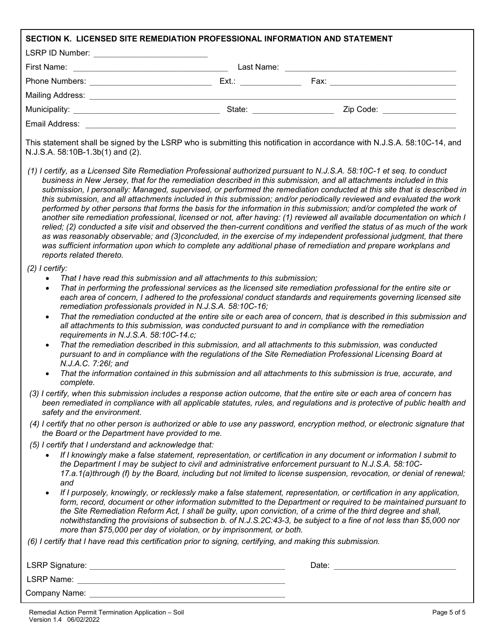| SECTION K. LICENSED SITE REMEDIATION PROFESSIONAL INFORMATION AND STATEMENT                                                                                                                                                                                                                             |                                                                                                                                                                                                                                                                                                                                                                                                                                                                                                                                                                                                                                                                                                                                                                                                                                                                                                                                                                                                                                                                                                                                |
|---------------------------------------------------------------------------------------------------------------------------------------------------------------------------------------------------------------------------------------------------------------------------------------------------------|--------------------------------------------------------------------------------------------------------------------------------------------------------------------------------------------------------------------------------------------------------------------------------------------------------------------------------------------------------------------------------------------------------------------------------------------------------------------------------------------------------------------------------------------------------------------------------------------------------------------------------------------------------------------------------------------------------------------------------------------------------------------------------------------------------------------------------------------------------------------------------------------------------------------------------------------------------------------------------------------------------------------------------------------------------------------------------------------------------------------------------|
| LSRP ID Number: ____________________________                                                                                                                                                                                                                                                            |                                                                                                                                                                                                                                                                                                                                                                                                                                                                                                                                                                                                                                                                                                                                                                                                                                                                                                                                                                                                                                                                                                                                |
|                                                                                                                                                                                                                                                                                                         |                                                                                                                                                                                                                                                                                                                                                                                                                                                                                                                                                                                                                                                                                                                                                                                                                                                                                                                                                                                                                                                                                                                                |
|                                                                                                                                                                                                                                                                                                         |                                                                                                                                                                                                                                                                                                                                                                                                                                                                                                                                                                                                                                                                                                                                                                                                                                                                                                                                                                                                                                                                                                                                |
|                                                                                                                                                                                                                                                                                                         |                                                                                                                                                                                                                                                                                                                                                                                                                                                                                                                                                                                                                                                                                                                                                                                                                                                                                                                                                                                                                                                                                                                                |
|                                                                                                                                                                                                                                                                                                         |                                                                                                                                                                                                                                                                                                                                                                                                                                                                                                                                                                                                                                                                                                                                                                                                                                                                                                                                                                                                                                                                                                                                |
|                                                                                                                                                                                                                                                                                                         |                                                                                                                                                                                                                                                                                                                                                                                                                                                                                                                                                                                                                                                                                                                                                                                                                                                                                                                                                                                                                                                                                                                                |
| N.J.S.A. 58:10B-1.3b(1) and (2).                                                                                                                                                                                                                                                                        | This statement shall be signed by the LSRP who is submitting this notification in accordance with N.J.S.A. 58:10C-14, and                                                                                                                                                                                                                                                                                                                                                                                                                                                                                                                                                                                                                                                                                                                                                                                                                                                                                                                                                                                                      |
| reports related thereto.                                                                                                                                                                                                                                                                                | (1) I certify, as a Licensed Site Remediation Professional authorized pursuant to N.J.S.A. 58:10C-1 et seq. to conduct<br>business in New Jersey, that for the remediation described in this submission, and all attachments included in this<br>submission, I personally: Managed, supervised, or performed the remediation conducted at this site that is described in<br>this submission, and all attachments included in this submission; and/or periodically reviewed and evaluated the work<br>performed by other persons that forms the basis for the information in this submission; and/or completed the work of<br>another site remediation professional, licensed or not, after having: (1) reviewed all available documentation on which I<br>relied; (2) conducted a site visit and observed the then-current conditions and verified the status of as much of the work<br>as was reasonably observable; and (3)concluded, in the exercise of my independent professional judgment, that there<br>was sufficient information upon which to complete any additional phase of remediation and prepare workplans and |
| $(2)$ I certify:<br>That I have read this submission and all attachments to this submission;<br>$\bullet$<br>$\bullet$<br>remediation professionals provided in N.J.S.A. 58:10C-16;<br>$\bullet$<br>requirements in N.J.S.A. 58:10C-14.c;<br>$\bullet$<br>N.J.A.C. 7:26I; and<br>$\bullet$<br>complete. | That in performing the professional services as the licensed site remediation professional for the entire site or<br>each area of concern, I adhered to the professional conduct standards and requirements governing licensed site<br>That the remediation conducted at the entire site or each area of concern, that is described in this submission and<br>all attachments to this submission, was conducted pursuant to and in compliance with the remediation<br>That the remediation described in this submission, and all attachments to this submission, was conducted<br>pursuant to and in compliance with the regulations of the Site Remediation Professional Licensing Board at<br>That the information contained in this submission and all attachments to this submission is true, accurate, and                                                                                                                                                                                                                                                                                                                |
| safety and the environment.                                                                                                                                                                                                                                                                             | (3) I certify, when this submission includes a response action outcome, that the entire site or each area of concern has<br>been remediated in compliance with all applicable statutes, rules, and regulations and is protective of public health and                                                                                                                                                                                                                                                                                                                                                                                                                                                                                                                                                                                                                                                                                                                                                                                                                                                                          |
| the Board or the Department have provided to me.                                                                                                                                                                                                                                                        | (4) I certify that no other person is authorized or able to use any password, encryption method, or electronic signature that                                                                                                                                                                                                                                                                                                                                                                                                                                                                                                                                                                                                                                                                                                                                                                                                                                                                                                                                                                                                  |
| (5) I certify that I understand and acknowledge that:<br>and<br>$\bullet$<br>more than \$75,000 per day of violation, or by imprisonment, or both.                                                                                                                                                      | If I knowingly make a false statement, representation, or certification in any document or information I submit to<br>the Department I may be subject to civil and administrative enforcement pursuant to N.J.S.A. 58:10C-<br>17.a.1(a)through (f) by the Board, including but not limited to license suspension, revocation, or denial of renewal;<br>If I purposely, knowingly, or recklessly make a false statement, representation, or certification in any application,<br>form, record, document or other information submitted to the Department or required to be maintained pursuant to<br>the Site Remediation Reform Act, I shall be guilty, upon conviction, of a crime of the third degree and shall,<br>notwithstanding the provisions of subsection b. of N.J.S.2C:43-3, be subject to a fine of not less than \$5,000 nor                                                                                                                                                                                                                                                                                      |
| (6) I certify that I have read this certification prior to signing, certifying, and making this submission.                                                                                                                                                                                             |                                                                                                                                                                                                                                                                                                                                                                                                                                                                                                                                                                                                                                                                                                                                                                                                                                                                                                                                                                                                                                                                                                                                |
|                                                                                                                                                                                                                                                                                                         |                                                                                                                                                                                                                                                                                                                                                                                                                                                                                                                                                                                                                                                                                                                                                                                                                                                                                                                                                                                                                                                                                                                                |
|                                                                                                                                                                                                                                                                                                         |                                                                                                                                                                                                                                                                                                                                                                                                                                                                                                                                                                                                                                                                                                                                                                                                                                                                                                                                                                                                                                                                                                                                |

Company Name: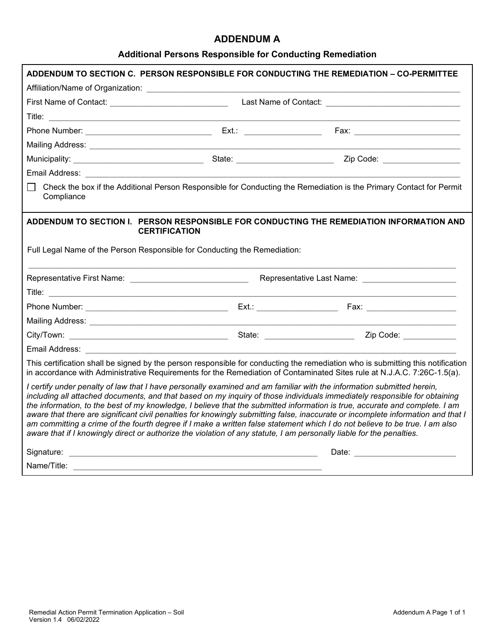### **ADDENDUM A**

## **Additional Persons Responsible for Conducting Remediation**

|                                                                                                                                                                                                                                                |  | ADDENDUM TO SECTION C. PERSON RESPONSIBLE FOR CONDUCTING THE REMEDIATION - CO-PERMITTEE                                                                                                                                                                                                                                                                                                                                                                                                                                     |
|------------------------------------------------------------------------------------------------------------------------------------------------------------------------------------------------------------------------------------------------|--|-----------------------------------------------------------------------------------------------------------------------------------------------------------------------------------------------------------------------------------------------------------------------------------------------------------------------------------------------------------------------------------------------------------------------------------------------------------------------------------------------------------------------------|
|                                                                                                                                                                                                                                                |  |                                                                                                                                                                                                                                                                                                                                                                                                                                                                                                                             |
|                                                                                                                                                                                                                                                |  |                                                                                                                                                                                                                                                                                                                                                                                                                                                                                                                             |
|                                                                                                                                                                                                                                                |  |                                                                                                                                                                                                                                                                                                                                                                                                                                                                                                                             |
|                                                                                                                                                                                                                                                |  |                                                                                                                                                                                                                                                                                                                                                                                                                                                                                                                             |
|                                                                                                                                                                                                                                                |  |                                                                                                                                                                                                                                                                                                                                                                                                                                                                                                                             |
|                                                                                                                                                                                                                                                |  |                                                                                                                                                                                                                                                                                                                                                                                                                                                                                                                             |
|                                                                                                                                                                                                                                                |  |                                                                                                                                                                                                                                                                                                                                                                                                                                                                                                                             |
| Compliance                                                                                                                                                                                                                                     |  | Check the box if the Additional Person Responsible for Conducting the Remediation is the Primary Contact for Permit                                                                                                                                                                                                                                                                                                                                                                                                         |
| <b>CERTIFICATION</b>                                                                                                                                                                                                                           |  | ADDENDUM TO SECTION I. PERSON RESPONSIBLE FOR CONDUCTING THE REMEDIATION INFORMATION AND                                                                                                                                                                                                                                                                                                                                                                                                                                    |
| Full Legal Name of the Person Responsible for Conducting the Remediation:                                                                                                                                                                      |  |                                                                                                                                                                                                                                                                                                                                                                                                                                                                                                                             |
|                                                                                                                                                                                                                                                |  |                                                                                                                                                                                                                                                                                                                                                                                                                                                                                                                             |
|                                                                                                                                                                                                                                                |  |                                                                                                                                                                                                                                                                                                                                                                                                                                                                                                                             |
|                                                                                                                                                                                                                                                |  |                                                                                                                                                                                                                                                                                                                                                                                                                                                                                                                             |
|                                                                                                                                                                                                                                                |  |                                                                                                                                                                                                                                                                                                                                                                                                                                                                                                                             |
|                                                                                                                                                                                                                                                |  |                                                                                                                                                                                                                                                                                                                                                                                                                                                                                                                             |
| Email Address: The Communication of the Communication of the Communication of the Communication of the Communication                                                                                                                           |  |                                                                                                                                                                                                                                                                                                                                                                                                                                                                                                                             |
|                                                                                                                                                                                                                                                |  | This certification shall be signed by the person responsible for conducting the remediation who is submitting this notification<br>in accordance with Administrative Requirements for the Remediation of Contaminated Sites rule at N.J.A.C. 7:26C-1.5(a).                                                                                                                                                                                                                                                                  |
| I certify under penalty of law that I have personally examined and am familiar with the information submitted herein,<br>aware that if I knowingly direct or authorize the violation of any statute, I am personally liable for the penalties. |  | including all attached documents, and that based on my inquiry of those individuals immediately responsible for obtaining<br>the information, to the best of my knowledge, I believe that the submitted information is true, accurate and complete. I am<br>aware that there are significant civil penalties for knowingly submitting false, inaccurate or incomplete information and that I<br>am committing a crime of the fourth degree if I make a written false statement which I do not believe to be true. I am also |
|                                                                                                                                                                                                                                                |  |                                                                                                                                                                                                                                                                                                                                                                                                                                                                                                                             |
|                                                                                                                                                                                                                                                |  |                                                                                                                                                                                                                                                                                                                                                                                                                                                                                                                             |
|                                                                                                                                                                                                                                                |  |                                                                                                                                                                                                                                                                                                                                                                                                                                                                                                                             |